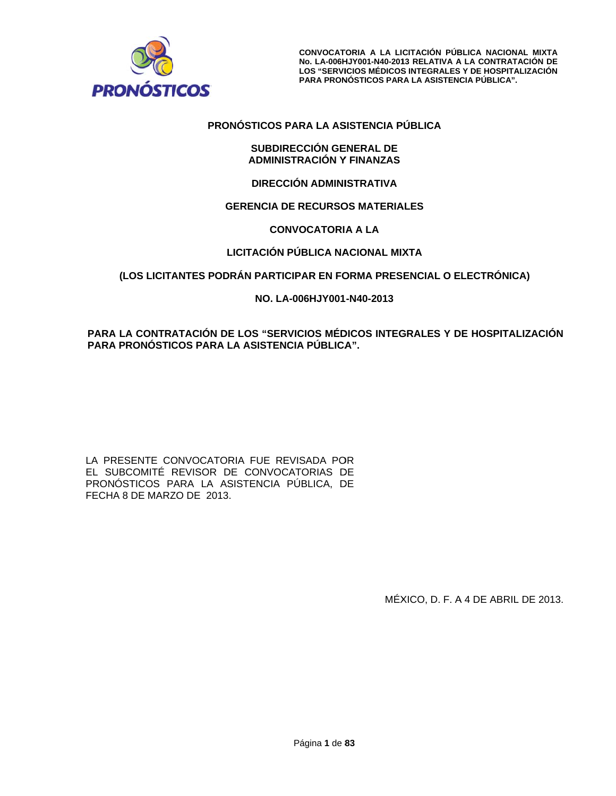

# **PRO NÓSTICOS P PARA LA AS SISTENCIA P PÚBLICA**

### **SUBDIR RECCIÓN GE ENERAL DE ADMINIS STRACIÓN Y Y FINANZAS**

## **DIRECC CIÓN ADMINI ISTRATIVA**

## **G GERENCIA D DE RECURSO OS MATERIA ALES**

## **CON NVOCATORI A A LA**

# **L LICITACIÓN PÚBLICA NA ACIONAL MIX XTA**

# (LOS LICITANTES PODRÁN PARTICIPAR EN FORMA PRESENCIAL O ELECTRÓNICA)

# **NO. LA A-006HJY001 -N40-2013**

# **PARA A LA CONTRA ATACIÓN DE E LOS "SER VICIOS MÉD DICOS INTEG GRALES Y D DE HOSPITAL LIZACIÓN**  PARA PRONÓSTICOS PARA LA ASISTENCIA PÚBLICA".

LA PRESENTE CONVOCATORIA FUE REVISADA POR EL SUBCOMITÉ REVISOR DE CONVOCATORIAS DE PRONÓSTICOS PARA LA ASISTENCIA PÚBLICA, DE FECHA 8 DE MARZO DE 2013. CONVOCAT<br>
No. LA-006<sup>H</sup><br>
LOS "SERVI<br>
PARA PRON<br>
NÓSTICOS PARA LA AS<br>
SUBDIRECCIÓN GE<br>
ADMINISTRACIÓN Y<br>
DIRECCIÓN ADMINI<br>
SERENCIA DE RECURSC<br>
CONVOCATORI<br>
LICITACIÓN PÚBLICA NA<br>
RÁN PARTICIPAR EN F(<br>
NO. LA-006HJY001<br>
E L

MÉX XICO, D. F. A A 4 DE ABRIL L DE 2013.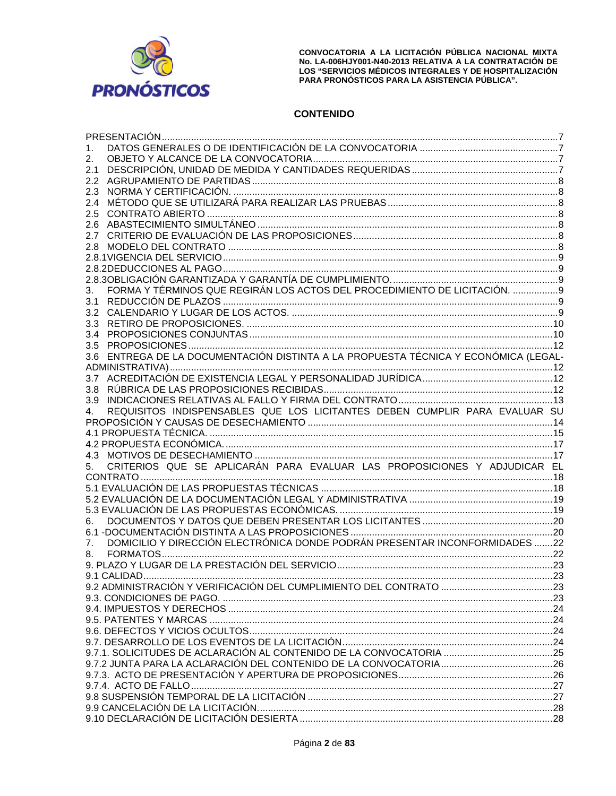

CONVOCATORIA A LA LICITACIÓN PÚBLICA NACIONAL MIXTA No. LA-006HJY001-N40-2013 RELATIVA A LA CONTRATACIÓN DE<br>LOS "SERVICIOS MÉDICOS INTEGRALES Y DE HOSPITALIZACIÓN PARA PRONÓSTICOS PARA LA ASISTENCIA PÚBLICA".

# **CONTENIDO**

| 1.               |                                                                                 |  |
|------------------|---------------------------------------------------------------------------------|--|
| 2.               |                                                                                 |  |
| 2.1              |                                                                                 |  |
| $2.2^{\circ}$    |                                                                                 |  |
| 2.3              |                                                                                 |  |
| 2.4              |                                                                                 |  |
| 2.5              |                                                                                 |  |
| 2.6              |                                                                                 |  |
| 2.7              |                                                                                 |  |
|                  |                                                                                 |  |
|                  |                                                                                 |  |
|                  |                                                                                 |  |
|                  |                                                                                 |  |
| 3.               | FORMA Y TÉRMINOS QUE REGIRÁN LOS ACTOS DEL PROCEDIMIENTO DE LICITACIÓN. 9       |  |
| 3.1              |                                                                                 |  |
| 3.2              |                                                                                 |  |
| 3.3 <sub>1</sub> |                                                                                 |  |
| 3.4              |                                                                                 |  |
| 3.5              |                                                                                 |  |
| 3.6              | ENTREGA DE LA DOCUMENTACIÓN DISTINTA A LA PROPUESTA TÉCNICA Y ECONÓMICA (LEGAL- |  |
|                  |                                                                                 |  |
|                  |                                                                                 |  |
| 3.8              |                                                                                 |  |
| 3.9 <sup>°</sup> |                                                                                 |  |
| 4.               | REQUISITOS INDISPENSABLES QUE LOS LICITANTES DEBEN CUMPLIR PARA EVALUAR SU      |  |
|                  |                                                                                 |  |
|                  |                                                                                 |  |
|                  |                                                                                 |  |
|                  |                                                                                 |  |
| 5.               | CRITERIOS QUE SE APLICARÁN PARA EVALUAR LAS PROPOSICIONES Y ADJUDICAR EL        |  |
|                  |                                                                                 |  |
|                  |                                                                                 |  |
|                  |                                                                                 |  |
|                  |                                                                                 |  |
| 6.               |                                                                                 |  |
|                  |                                                                                 |  |
| 7.               | DOMICILIO Y DIRECCIÓN ELECTRÓNICA DONDE PODRÁN PRESENTAR INCONFORMIDADES 22     |  |
| 8.               |                                                                                 |  |
|                  |                                                                                 |  |
|                  |                                                                                 |  |
|                  |                                                                                 |  |
|                  |                                                                                 |  |
|                  |                                                                                 |  |
|                  |                                                                                 |  |
|                  |                                                                                 |  |
|                  |                                                                                 |  |
|                  |                                                                                 |  |
|                  |                                                                                 |  |
|                  |                                                                                 |  |
|                  |                                                                                 |  |
|                  |                                                                                 |  |
|                  |                                                                                 |  |
|                  |                                                                                 |  |
|                  |                                                                                 |  |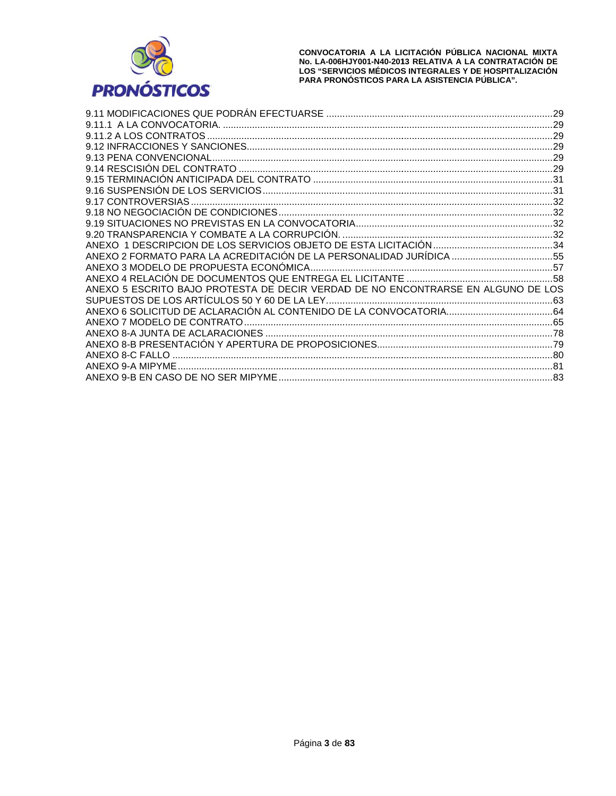

|                                                                                  | .29 |
|----------------------------------------------------------------------------------|-----|
|                                                                                  |     |
|                                                                                  |     |
|                                                                                  |     |
|                                                                                  |     |
|                                                                                  |     |
|                                                                                  |     |
|                                                                                  |     |
|                                                                                  |     |
|                                                                                  |     |
|                                                                                  |     |
|                                                                                  |     |
|                                                                                  |     |
| ANEXO 2 FORMATO PARA LA ACREDITACIÓN DE LA PERSONALIDAD JURÍDICA 55              |     |
|                                                                                  |     |
|                                                                                  |     |
| ANEXO 5 ESCRITO BAJO PROTESTA DE DECIR VERDAD DE NO ENCONTRARSE EN ALGUNO DE LOS |     |
|                                                                                  |     |
|                                                                                  |     |
|                                                                                  |     |
|                                                                                  |     |
|                                                                                  |     |
|                                                                                  |     |
|                                                                                  |     |
|                                                                                  | .83 |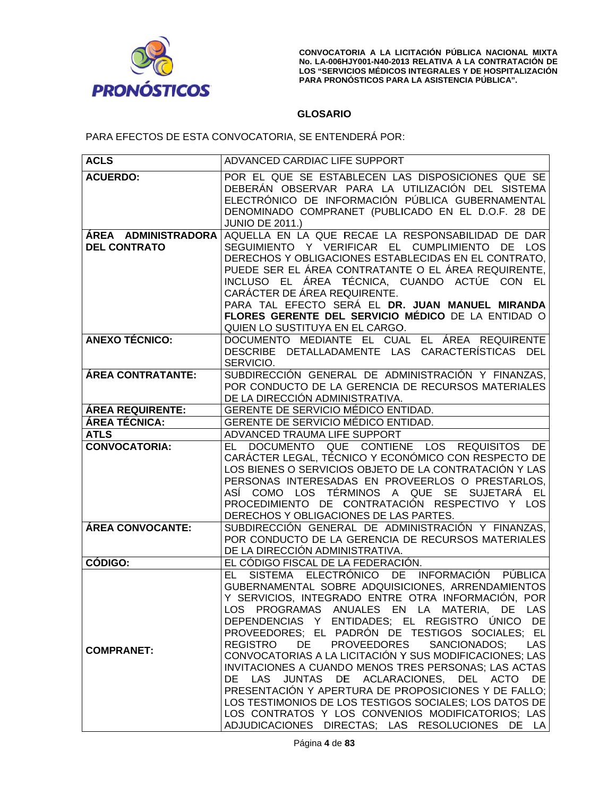

CONVOCATORIA A LA LICITACIÓN PÚBLICA NACIONAL MIXTA **No. LA-006H LOS "SERVI PARA PRON NÓSTICOS PAR RA LA ASISTENC CIA PÚBLICA". HJY001-N40-201 ICIOS MÉDICOS 13 RELATIVA A S INTEGRALES A LA CONTRAT Y DE HOSPITA ACIÓN DE ALIZACIÓN** 

# **GLOSARIO O**

PARA EFECTOS DE ESTA CONVOCATORIA, SE ENTENDERÁ POR:

| <b>ACLS</b>                                          | ADVANCED CARDIAC LIFE SUPPORT                                                                                              |  |
|------------------------------------------------------|----------------------------------------------------------------------------------------------------------------------------|--|
| <b>ACUERDO:</b>                                      | POR EL QUE SE ESTABLECEN LAS DISPOSICIONES QUE SE                                                                          |  |
|                                                      | DEBERÁN OBSERVAR PARA LA UTILIZACIÓN DEL SISTEMA                                                                           |  |
|                                                      | ELECTRÓNICO DE INFORMACIÓN PÚBLICA GUBERNAMENTAL                                                                           |  |
|                                                      | DENOMINADO COMPRANET (PUBLICADO EN EL D.O.F. 28 DE                                                                         |  |
|                                                      | <b>JUNIO DE 2011.)</b>                                                                                                     |  |
| ÁREA ADMINISTRADORA                                  | AQUELLA EN LA QUE RECAE LA RESPONSABILIDAD DE DAR                                                                          |  |
| <b>DEL CONTRATO</b>                                  | SEGUIMIENTO Y VERIFICAR EL CUMPLIMIENTO DE LOS                                                                             |  |
|                                                      | DERECHOS Y OBLIGACIONES ESTABLECIDAS EN EL CONTRATO.                                                                       |  |
|                                                      | PUEDE SER EL ÁREA CONTRATANTE O EL ÁREA REQUIRENTE,                                                                        |  |
|                                                      | INCLUSO EL ÁREA TÉCNICA, CUANDO ACTÚE CON EL                                                                               |  |
|                                                      | CARÁCTER DE ÁREA REQUIRENTE.<br>PARA TAL EFECTO SERÁ EL DR. JUAN MANUEL MIRANDA                                            |  |
|                                                      |                                                                                                                            |  |
|                                                      | FLORES GERENTE DEL SERVICIO MÉDICO DE LA ENTIDAD O<br>QUIEN LO SUSTITUYA EN EL CARGO.                                      |  |
| <b>ANEXO TÉCNICO:</b>                                | DOCUMENTO MEDIANTE EL CUAL<br>EL ÁREA REQUIRENTE                                                                           |  |
|                                                      | DESCRIBE DETALLADAMENTE LAS CARACTERÍSTICAS<br><b>DEL</b>                                                                  |  |
|                                                      | SERVICIO.                                                                                                                  |  |
| <b>ÁREA CONTRATANTE:</b>                             | SUBDIRECCIÓN GENERAL DE ADMINISTRACIÓN Y FINANZAS,                                                                         |  |
|                                                      | POR CONDUCTO DE LA GERENCIA DE RECURSOS MATERIALES                                                                         |  |
|                                                      | DE LA DIRECCIÓN ADMINISTRATIVA.                                                                                            |  |
| <b>ÁREA REQUIRENTE:</b>                              | GERENTE DE SERVICIO MÉDICO ENTIDAD.                                                                                        |  |
| ÁREA TÉCNICA:<br>GERENTE DE SERVICIO MÉDICO ENTIDAD. |                                                                                                                            |  |
| <b>ATLS</b>                                          | ADVANCED TRAUMA LIFE SUPPORT                                                                                               |  |
| <b>CONVOCATORIA:</b>                                 | DOCUMENTO QUE CONTIENE LOS REQUISITOS<br>DE.<br>EL -                                                                       |  |
|                                                      | CARÁCTER LEGAL, TÉCNICO Y ECONÓMICO CON RESPECTO DE<br>LOS BIENES O SERVICIOS OBJETO DE LA CONTRATACIÓN Y LAS              |  |
|                                                      | PERSONAS INTERESADAS EN PROVEERLOS O PRESTARLOS,                                                                           |  |
|                                                      | ASÍ COMO LOS TÉRMINOS A QUE SE SUJETARÁ EL                                                                                 |  |
|                                                      | PROCEDIMIENTO DE CONTRATACIÓN RESPECTIVO Y LOS                                                                             |  |
|                                                      | DERECHOS Y OBLIGACIONES DE LAS PARTES.                                                                                     |  |
| ÁREA CONVOCANTE:                                     | SUBDIRECCIÓN GENERAL DE ADMINISTRACIÓN Y FINANZAS,                                                                         |  |
|                                                      | POR CONDUCTO DE LA GERENCIA DE RECURSOS MATERIALES                                                                         |  |
|                                                      | DE LA DIRECCIÓN ADMINISTRATIVA.                                                                                            |  |
| CÓDIGO:                                              | EL CÓDIGO FISCAL DE LA FEDERACIÓN.                                                                                         |  |
|                                                      | ELECTRÓNICO DE INFORMACIÓN<br><b>SISTEMA</b><br>PÚBLICA<br>EL -                                                            |  |
|                                                      | GUBERNAMENTAL SOBRE ADQUISICIONES, ARRENDAMIENTOS                                                                          |  |
|                                                      | Y SERVICIOS, INTEGRADO ENTRE OTRA INFORMACIÓN, POR                                                                         |  |
|                                                      | LOS PROGRAMAS ANUALES EN LA MATERIA, DE<br><b>LAS</b>                                                                      |  |
|                                                      | DEPENDENCIAS Y ENTIDADES; EL REGISTRO ÚNICO DE                                                                             |  |
|                                                      | PROVEEDORES; EL PADRÓN DE TESTIGOS SOCIALES; EL                                                                            |  |
| <b>COMPRANET:</b>                                    | DE PROVEEDORES<br>SANCIONADOS;<br><b>REGISTRO</b><br><b>LAS</b><br>CONVOCATORIAS A LA LICITACIÓN Y SUS MODIFICACIONES; LAS |  |
|                                                      | INVITACIONES A CUANDO MENOS TRES PERSONAS; LAS ACTAS                                                                       |  |
|                                                      | DE LAS JUNTAS DE ACLARACIONES, DEL ACTO DE                                                                                 |  |
|                                                      | PRESENTACIÓN Y APERTURA DE PROPOSICIONES Y DE FALLO;                                                                       |  |
|                                                      | LOS TESTIMONIOS DE LOS TESTIGOS SOCIALES; LOS DATOS DE                                                                     |  |
|                                                      | LOS CONTRATOS Y LOS CONVENIOS MODIFICATORIOS; LAS                                                                          |  |
|                                                      | ADJUDICACIONES DIRECTAS; LAS RESOLUCIONES DE LA                                                                            |  |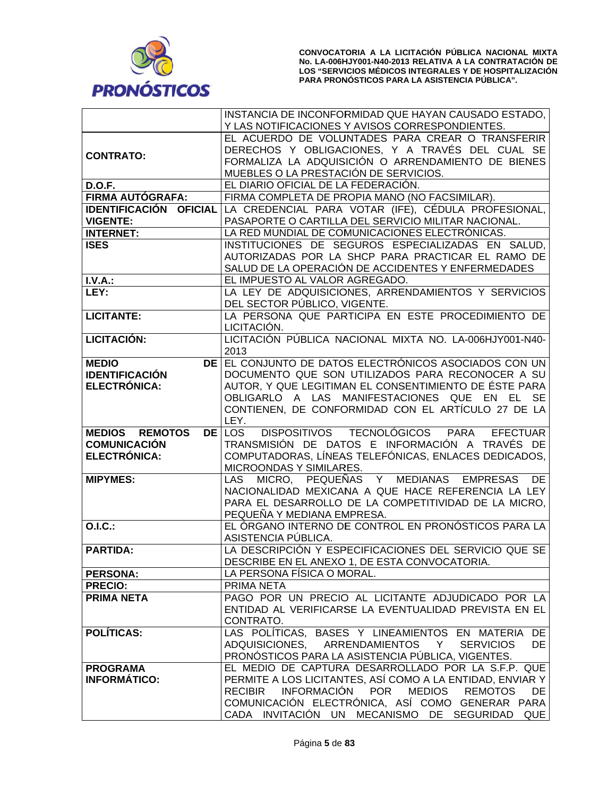

|                        | INSTANCIA DE INCONFORMIDAD QUE HAYAN CAUSADO ESTADO,                                                |
|------------------------|-----------------------------------------------------------------------------------------------------|
|                        | Y LAS NOTIFICACIONES Y AVISOS CORRESPONDIENTES.                                                     |
|                        | EL ACUERDO DE VOLUNTADES PARA CREAR O TRANSFERIR                                                    |
| <b>CONTRATO:</b>       | DERECHOS Y OBLIGACIONES, Y A TRAVÉS DEL CUAL SE                                                     |
|                        | FORMALIZA LA ADQUISICIÓN O ARRENDAMIENTO DE BIENES                                                  |
|                        | MUEBLES O LA PRESTACIÓN DE SERVICIOS.                                                               |
| <b>D.O.F.</b>          | EL DIARIO OFICIAL DE LA FEDERACIÓN.                                                                 |
| FIRMA AUTÓGRAFA:       | FIRMA COMPLETA DE PROPIA MANO (NO FACSIMILAR).                                                      |
| IDENTIFICACIÓN OFICIAL | LA CREDENCIAL PARA VOTAR (IFE), CÉDULA PROFESIONAL,                                                 |
| <b>VIGENTE:</b>        | PASAPORTE O CARTILLA DEL SERVICIO MILITAR NACIONAL.                                                 |
| <b>INTERNET:</b>       | LA RED MUNDIAL DE COMUNICACIONES ELECTRÓNICAS.                                                      |
| <b>ISES</b>            | INSTITUCIONES DE SEGUROS ESPECIALIZADAS EN SALUD.                                                   |
|                        | AUTORIZADAS POR LA SHCP PARA PRACTICAR EL RAMO DE                                                   |
|                        | SALUD DE LA OPERACIÓN DE ACCIDENTES Y ENFERMEDADES                                                  |
| I.V.A.:                | EL IMPUESTO AL VALOR AGREGADO.                                                                      |
| LEY:                   | LA LEY DE ADQUISICIONES, ARRENDAMIENTOS Y SERVICIOS                                                 |
|                        | DEL SECTOR PÚBLICO, VIGENTE.                                                                        |
| <b>LICITANTE:</b>      | LA PERSONA QUE PARTICIPA EN ESTE PROCEDIMIENTO DE                                                   |
|                        | LICITACIÓN.                                                                                         |
| LICITACIÓN:            | LICITACIÓN PÚBLICA NACIONAL MIXTA NO. LA-006HJY001-N40-                                             |
|                        | 2013                                                                                                |
| <b>MEDIO</b><br>DE I   | EL CONJUNTO DE DATOS ELECTRÓNICOS ASOCIADOS CON UN                                                  |
| <b>IDENTIFICACIÓN</b>  | DOCUMENTO QUE SON UTILIZADOS PARA RECONOCER A SU                                                    |
| ELECTRÓNICA:           | AUTOR, Y QUE LEGITIMAN EL CONSENTIMIENTO DE ÉSTE PARA                                               |
|                        | OBLIGARLO A LAS MANIFESTACIONES QUE EN EL SE                                                        |
|                        | CONTIENEN, DE CONFORMIDAD CON EL ARTÍCULO 27 DE LA                                                  |
|                        | LEY.                                                                                                |
| <b>MEDIOS REMOTOS</b>  | DISPOSITIVOS TECNOLÓGICOS PARA<br><b>DE LOS</b><br><b>EFECTUAR</b>                                  |
|                        |                                                                                                     |
| <b>COMUNICACIÓN</b>    | TRANSMISIÓN DE DATOS E INFORMACIÓN A TRAVÉS DE                                                      |
| ELECTRÓNICA:           | COMPUTADORAS, LÍNEAS TELEFÓNICAS, ENLACES DEDICADOS,                                                |
|                        | MICROONDAS Y SIMILARES.                                                                             |
| <b>MIPYMES:</b>        | MICRO, PEQUEÑAS Y MEDIANAS EMPRESAS<br>DE.<br>LAS                                                   |
|                        | NACIONALIDAD MEXICANA A QUE HACE REFERENCIA LA LEY                                                  |
|                        | PARA EL DESARROLLO DE LA COMPETITIVIDAD DE LA MICRO,                                                |
|                        | PEQUEÑA Y MEDIANA EMPRESA.                                                                          |
| O.I.C.:                | EL ÓRGANO INTERNO DE CONTROL EN PRONÓSTICOS PARA LA                                                 |
|                        | ASISTENCIA PÚBLICA.                                                                                 |
| <b>PARTIDA:</b>        | LA DESCRIPCIÓN Y ESPECIFICACIONES DEL SERVICIO QUE SE                                               |
|                        | DESCRIBE EN EL ANEXO 1, DE ESTA CONVOCATORIA.                                                       |
| <b>PERSONA:</b>        | LA PERSONA FÍSICA O MORAL.                                                                          |
| <b>PRECIO:</b>         | PRIMA NETA                                                                                          |
| <b>PRIMA NETA</b>      | PAGO POR UN PRECIO AL LICITANTE ADJUDICADO POR LA                                                   |
|                        | ENTIDAD AL VERIFICARSE LA EVENTUALIDAD PREVISTA EN EL                                               |
|                        | CONTRATO.                                                                                           |
| <b>POLÍTICAS:</b>      | LAS POLÍTICAS, BASES Y LINEAMIENTOS EN MATERIA DE                                                   |
|                        | ADQUISICIONES, ARRENDAMIENTOS Y SERVICIOS<br>DE.                                                    |
|                        | PRONÓSTICOS PARA LA ASISTENCIA PÚBLICA, VIGENTES.                                                   |
| <b>PROGRAMA</b>        | EL MEDIO DE CAPTURA DESARROLLADO POR LA S.F.P. QUE                                                  |
| <b>INFORMÁTICO:</b>    | PERMITE A LOS LICITANTES, ASÍ COMO A LA ENTIDAD, ENVIAR Y                                           |
|                        | INFORMACIÓN POR<br><b>MEDIOS</b><br><b>RECIBIR</b><br><b>REMOTOS</b><br>DE                          |
|                        | COMUNICACIÓN ELECTRÓNICA, ASÍ COMO GENERAR PARA<br>CADA INVITACIÓN UN MECANISMO DE SEGURIDAD<br>QUE |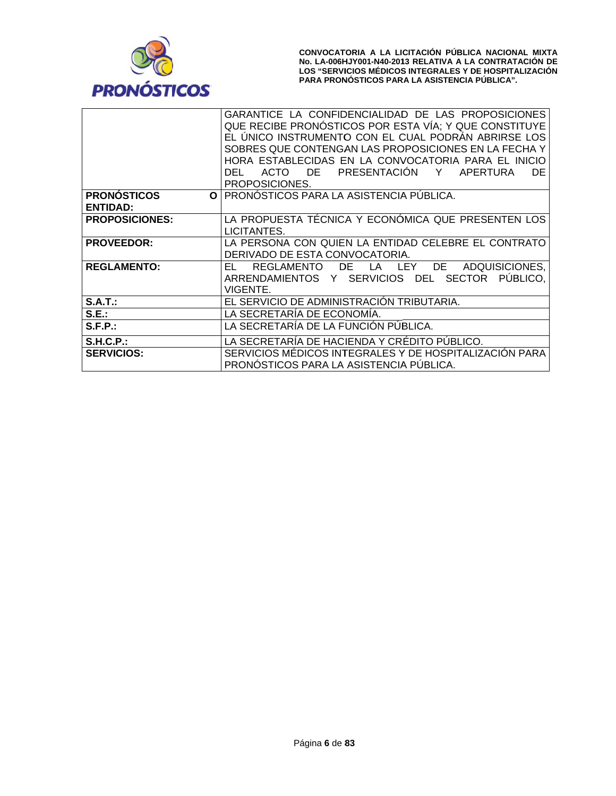

|                                | GARANTICE LA CONFIDENCIALIDAD DE LAS PROPOSICIONES<br>QUE RECIBE PRONÓSTICOS POR ESTA VÍA; Y QUE CONSTITUYE<br>EL ÚNICO INSTRUMENTO CON EL CUAL PODRÁN ABRIRSE LOS<br>SOBRES QUE CONTENGAN LAS PROPOSICIONES EN LA FECHA Y<br>HORA ESTABLECIDAS EN LA CONVOCATORIA PARA EL INICIO<br>PRESENTACIÓN<br>Y<br><b>APERTURA</b><br>DE.<br>DE.<br><b>ACTO</b><br>DEL<br>PROPOSICIONES. |
|--------------------------------|---------------------------------------------------------------------------------------------------------------------------------------------------------------------------------------------------------------------------------------------------------------------------------------------------------------------------------------------------------------------------------|
| <b>PRONÓSTICOS</b><br>$\Omega$ | <b>PRONÓSTICOS PARA LA ASISTENCIA PUBLICA.</b>                                                                                                                                                                                                                                                                                                                                  |
| <b>ENTIDAD:</b>                |                                                                                                                                                                                                                                                                                                                                                                                 |
| <b>PROPOSICIONES:</b>          | LA PROPUESTA TÉCNICA Y ECONÓMICA QUE PRESENTEN LOS<br>LICITANTES.                                                                                                                                                                                                                                                                                                               |
| <b>PROVEEDOR:</b>              | LA PERSONA CON QUIEN LA ENTIDAD CELEBRE EL CONTRATO<br>DERIVADO DE ESTA CONVOCATORIA.                                                                                                                                                                                                                                                                                           |
| <b>REGLAMENTO:</b>             | DE<br>ADQUISICIONES,<br>EL.<br><b>REGLAMENTO</b><br>DE<br>LA LEY<br><b>SECTOR</b><br>PUBLICO.<br>ARRENDAMIENTOS Y SERVICIOS DEL<br>VIGENTE.                                                                                                                                                                                                                                     |
| S.A.T.:                        | EL SERVICIO DE ADMINISTRACIÓN TRIBUTARIA.                                                                                                                                                                                                                                                                                                                                       |
| S.E.:                          | LA SECRETARÍA DE ECONOMIA.                                                                                                                                                                                                                                                                                                                                                      |
| S.F.P.:                        | LA SECRETARÍA DE LA FUNCIÓN PÚBLICA.                                                                                                                                                                                                                                                                                                                                            |
| S.H.C.P.                       | LA SECRETARÍA DE HACIENDA Y CRÉDITO PÚBLICO.                                                                                                                                                                                                                                                                                                                                    |
| <b>SERVICIOS:</b>              | SERVICIOS MEDICOS INTEGRALES Y DE HOSPITALIZACION PARA<br>PRONOSTICOS PARA LA ASISTENCIA PÚBLICA.                                                                                                                                                                                                                                                                               |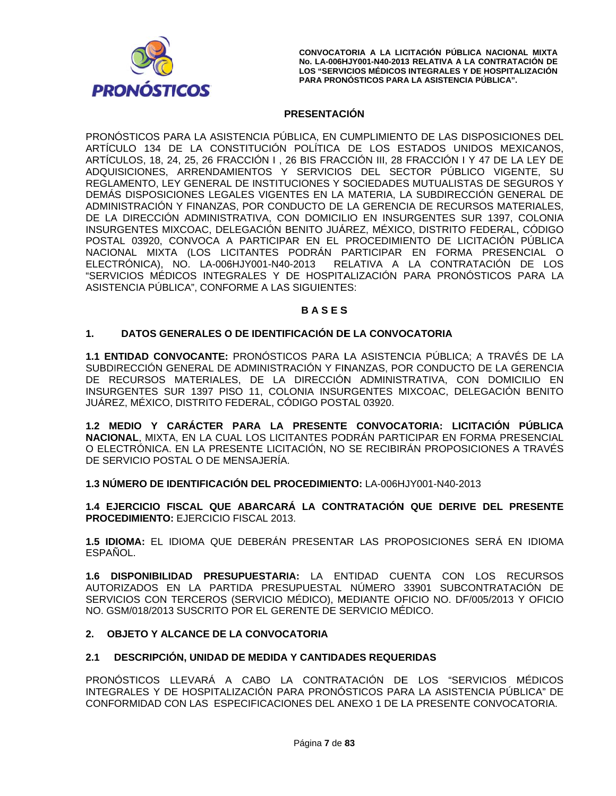

## **PRESENTACIÓN**

PRONÓSTICOS PARA LA ASISTENCIA PÚBLICA, EN CUMPLIMIENTO DE LAS DISPOSICIONES DEL ARTÍCULO 134 DE LA CONSTITUCIÓN POLÍTICA DE LOS ESTADOS UNIDOS MEXICANOS, ARTICULOS, 18, 24, 25, 26 FRACCIÓN I, 26 BIS FRACCIÓN III, 28 FRACCIÓN I Y 47 DE LA LEY DE ADQUISICIONES, ARRENDAMIENTOS Y SERVICIOS DEL SECTOR PÚBLICO VIGENTE, SU REGLAMENTO, LEY GENERAL DE INSTITUCIONES Y SOCIEDADES MUTUALISTAS DE SEGUROS Y DEMÁS DISPOSICIONES LEGALES VIGENTES EN LA MATERIA, LA SUBDIRECCIÓN GENERAL DE ADMINISTRACIÓN Y FINANZAS, POR CONDUCTO DE LA GERENCIA DE RECURSOS MATERIALES, DE LA DIRECCIÓN ADMINISTRATIVA, CON DOMICILIO EN INSURGENTES SUR 1397, COLONIA INSURGENTES MIXCOAC, DELEGACIÓN BENITO JUÁREZ, MÉXICO, DISTRITO FEDERAL, CÓDIGO POSTAL 03920, CONVOCA A PARTICIPAR EN EL PROCEDIMIENTO DE LICITACIÓN PÚBLICA NACIONAL MIXTA (LOS LICITANTES PODRÁN PARTICIPAR EN FORMA PRESENCIAL O ELECTRÓNICA), NO. LA-006HJY001-N40-2013 RELATIVA A LA CONTRATACIÓN DE LOS "SERVICIOS MÉDICOS INTEGRALES Y DE HOSPITALIZACIÓN PARA PRONÓSTICOS PARA LA ASISTENCIA PÚBLICA", CONFORME A LAS SIGUIENTES:

### **BASES**

#### $1<sup>1</sup>$ DATOS GENERALES O DE IDENTIFICACIÓN DE LA CONVOCATORIA

1.1 ENTIDAD CONVOCANTE: PRONÓSTICOS PARA LA ASISTENCIA PÚBLICA; A TRAVÉS DE LA SUBDIRECCIÓN GENERAL DE ADMINISTRACIÓN Y FINANZAS, POR CONDUCTO DE LA GERENCIA DE RECURSOS MATERIALES, DE LA DIRECCIÓN ADMINISTRATIVA, CON DOMICILIO EN INSURGENTES SUR 1397 PISO 11, COLONIA INSURGENTES MIXCOAC, DELEGACIÓN BENITO JUÁREZ, MÉXICO, DISTRITO FEDERAL, CÓDIGO POSTAL 03920.

1.2 MEDIO Y CARÁCTER PARA LA PRESENTE CONVOCATORIA: LICITACIÓN PÚBLICA NACIONAL, MIXTA, EN LA CUAL LOS LICITANTES PODRÁN PARTICIPAR EN FORMA PRESENCIAL O ELECTRÓNICA. EN LA PRESENTE LICITACIÓN, NO SE RECIBIRÁN PROPOSICIONES A TRAVÉS DE SERVICIO POSTAL O DE MENSAJERÍA.

1.3 NÚMERO DE IDENTIFICACIÓN DEL PROCEDIMIENTO: 1 A-006H.IY001-N40-2013

1.4 EJERCICIO FISCAL QUE ABARCARÁ LA CONTRATACIÓN QUE DERIVE DEL PRESENTE **PROCEDIMIENTO: EJERCICIO FISCAL 2013.** 

1.5 IDIOMA: EL IDIOMA QUE DEBERÁN PRESENTAR LAS PROPOSICIONES SERÁ EN IDIOMA ESPAÑOL.

1.6 DISPONIBILIDAD PRESUPUESTARIA: LA ENTIDAD CUENTA CON LOS RECURSOS AUTORIZADOS EN LA PARTIDA PRESUPUESTAL NÚMERO 33901 SUBCONTRATACIÓN DE SERVICIOS CON TERCEROS (SERVICIO MÉDICO), MEDIANTE OFICIO NO. DF/005/2013 Y OFICIO NO. GSM/018/2013 SUSCRITO POR EL GERENTE DE SERVICIO MÉDICO.

#### **OBJETO Y ALCANCE DE LA CONVOCATORIA**  $2.$

#### $2.1$ DESCRIPCIÓN, UNIDAD DE MEDIDA Y CANTIDADES REQUERIDAS

PRONÓSTICOS LLEVARÁ A CABO LA CONTRATACIÓN DE LOS "SERVICIOS MÉDICOS INTEGRALES Y DE HOSPITALIZACIÓN PARA PRONÓSTICOS PARA LA ASISTENCIA PÚBLICA" DE CONFORMIDAD CON LAS ESPECIFICACIONES DEL ANEXO 1 DE LA PRESENTE CONVOCATORIA.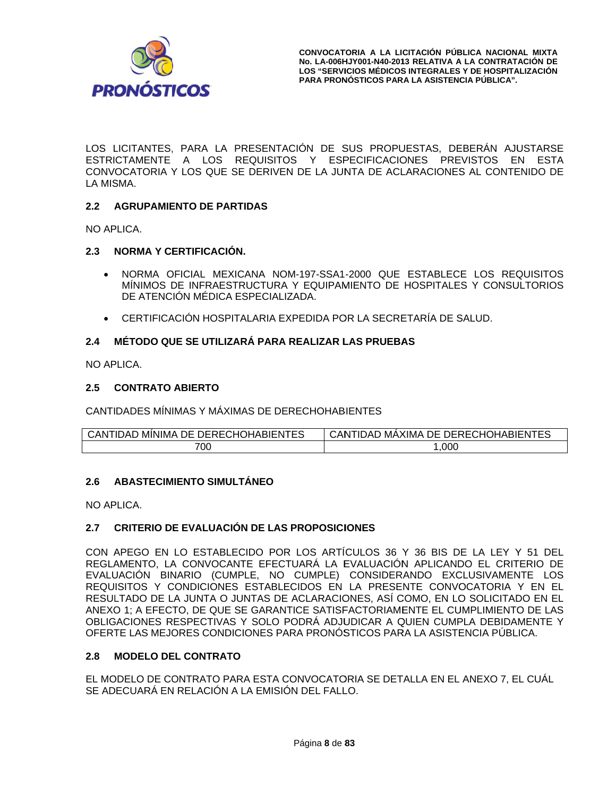

LOS LICITANTES, PARA LA PRESENTACIÓN DE SUS PROPUESTAS, DEBERÁN AJUSTARSE ESTRICTAMENTE A LOS REQUISITOS Y ESPECIFICACIONES PREVISTOS EN ESTA CONVOCATORIA Y LOS QUE SE DERIVEN DE LA JUNTA DE ACLARACIONES AL CONTENIDO DE LA MISMA.

## 2.2 AGRUPAMIENTO DE PARTIDAS

NO APLICA.

## 2.3 NORMA Y CERTIFICACIÓN.

- NORMA OFICIAL MEXICANA NOM-197-SSA1-2000 QUE ESTABLECE LOS REQUISITOS  $\bullet$ MÍNIMOS DE INFRAESTRUCTURA Y EQUIPAMIENTO DE HOSPITALES Y CONSULTORIOS DE ATENCIÓN MÉDICA ESPECIALIZADA.
- CERTIFICACIÓN HOSPITALARIA EXPEDIDA POR LA SECRETARÍA DE SALUD.

#### MÉTODO QUE SE UTILIZARÁ PARA REALIZAR LAS PRUEBAS  $2.4$

NO APLICA.

#### $2.5$ **CONTRATO ABIERTO**

CANTIDADES MÍNIMAS Y MÁXIMAS DE DERECHOHABIENTES

| CANTIDAD MINIMA DE DERECHOHABIENTES | ) MAXIMA DE DERECHOHABIENTES<br><b>CANTIDAD</b> |
|-------------------------------------|-------------------------------------------------|
| 700                                 | ,000                                            |

### 2.6 ABASTECIMIENTO SIMULTÁNEO

NO APLICA.

#### CRITERIO DE EVALUACIÓN DE LAS PROPOSICIONES  $2.7$

CON APEGO EN LO ESTABLECIDO POR LOS ARTÍCULOS 36 Y 36 BIS DE LA LEY Y 51 DEL REGLAMENTO, LA CONVOCANTE EFECTUARÁ LA EVALUACIÓN APLICANDO EL CRITERIO DE EVALUACIÓN BINARIO (CUMPLE, NO CUMPLE) CONSIDERANDO EXCLUSIVAMENTE LOS REQUISITOS Y CONDICIONES ESTABLECIDOS EN LA PRESENTE CONVOCATORIA Y EN EL RESULTADO DE LA JUNTA O JUNTAS DE ACLARACIONES, ASÍ COMO, EN LO SOLICITADO EN EL ANEXO 1: A EFECTO. DE QUE SE GARANTICE SATISFACTORIAMENTE EL CUMPLIMIENTO DE LAS OBLIGACIONES RESPECTIVAS Y SOLO PODRÁ ADJUDICAR A QUIEN CUMPLA DEBIDAMENTE Y OFERTE LAS MEJORES CONDICIONES PARA PRONÓSTICOS PARA LA ASISTENCIA PÚBLICA.

#### $2.8$ **MODELO DEL CONTRATO**

EL MODELO DE CONTRATO PARA ESTA CONVOCATORIA SE DETALLA EN EL ANEXO 7, EL CUÁL SE ADECUARÁ EN RELACIÓN A LA EMISIÓN DEL FALLO.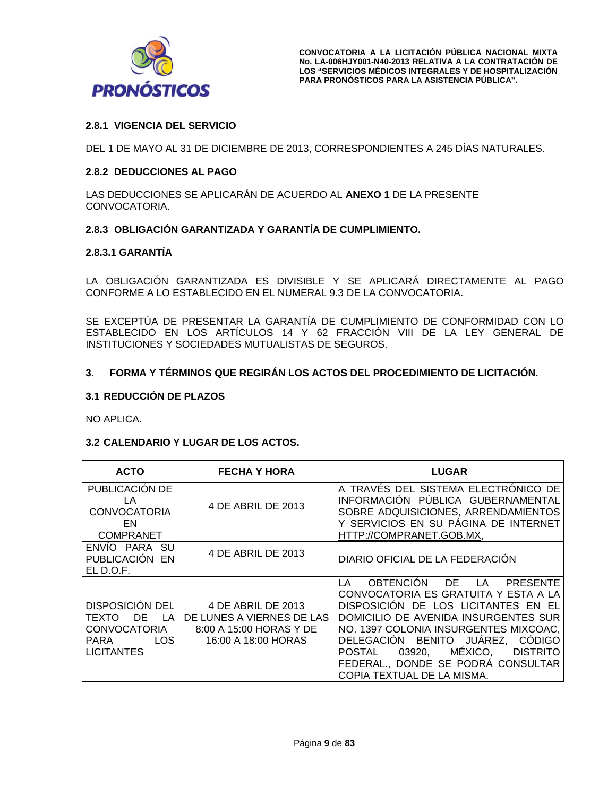

# **2.8.1 V VIGENCIA D EL SERVICIO O**

DEL 1 DE MAYO AL 31 DE DICIEMBRE DE 2013, CORRESPONDIENTES A 245 DÍAS NATURALES.

## **2.8.2 DEDUCCIONES AL PAGO**

LAS DEDUCCIONES SE APLICARÁN DE ACUERDO AL **ANEXO 1** DE LA PRESENTE CONV OCATORIA.

# 2.8.3 OBLIGACIÓN GARANTIZADA Y GARANTÍA DE CUMPLIMIENTO.

## **2.8.3.1 GARANTÍA**

LA OBLIGACIÓN GARANTIZADA ES DIVISIBLE Y SE APLICARÀ DIRECTAMENTE AL PAGO CONFORME A LO ESTABLECIDO EN EL NUMERAL 9.3 DE LA CONVOCATORIA.

SE EXCEPTÚA DE PRESENTAR LA GARANTÍA DE CUMPLIMIENTO DE CONFORMIDAD CON LO ESTABLECIDO EN LOS ARTÍCULOS 14 Y 62 FRACCIÓN VIII DE LA LEY GENERAL DE INSTITUCIONES Y SOCIEDADES MUTUALISTAS DE SEGUROS.

#### $3.$ **FORMA Y TÉ RMINOS QU E REGIRÁN LOS ACTOS S DEL PROC EDIMIENTO DE LICITAC IÓN.**

### **3.1 RE EDUCCIÓN D DE PLAZOS**

NO APLICA.

### **3.2 CALENDARIO Y LUGAR DE LOS ACTOS.**

| <b>ACTO</b>                                                                                       | <b>FECHA Y HORA</b>                                                                               | <b>LUGAR</b>                                                                                                                                                                                                                                                                                                                                                                                |
|---------------------------------------------------------------------------------------------------|---------------------------------------------------------------------------------------------------|---------------------------------------------------------------------------------------------------------------------------------------------------------------------------------------------------------------------------------------------------------------------------------------------------------------------------------------------------------------------------------------------|
| PUBLICACIÓN DE<br>LA<br><b>CONVOCATORIA</b><br>EN.<br><b>COMPRANET</b>                            | 4 DE ABRIL DE 2013                                                                                | A TRAVÉS DEL SISTEMA ELECTRÓNICO DE<br>INFORMACIÓN PUBLICA GUBERNAMENTAL<br>SOBRE ADQUISICIONES, ARRENDAMIENTOS<br>Y SERVICIOS EN SU PÁGINA DE INTERNET<br>HTTP://COMPRANET.GOB.MX,                                                                                                                                                                                                         |
| <b>SU</b><br>ENVIO PARA<br>PUBLICACIÓN EN<br>ELD.O.F.                                             | 4 DE ABRIL DE 2013                                                                                | DIARIO OFICIAL DE LA FEDERACIÓN                                                                                                                                                                                                                                                                                                                                                             |
| <b>DISPOSICIÓN DEL</b><br>DE<br>TEXTO<br>LA<br>CONVOCATORIA<br>LOS I<br>PARA<br><b>LICITANTES</b> | 4 DE ABRIL DE 2013<br>DE LUNES A VIERNES DE LAS<br>8:00 A 15:00 HORAS Y DE<br>16:00 A 18:00 HORAS | <b>OBTENCION</b><br>DE.<br>LA<br><b>PRESENTE</b><br>LA.<br>CONVOCATORIA ES GRATUITA Y ESTA A LA<br>DISPOSICIÓN DE LOS LICITANTES EN EL<br>DOMICILIO DE AVENIDA INSURGENTES SUR<br>NO. 1397 COLONIA INSURGENTES MIXCOAC,<br>DELEGACIÓN BENITO JUÁREZ,<br><b>CÓDIGO</b><br>MÉXICO,<br>POSTAL<br>03920,<br><b>DISTRITO</b><br>FEDERAL., DONDE SE PODRÁ CONSULTAR<br>COPIA TEXTUAL DE LA MISMA. |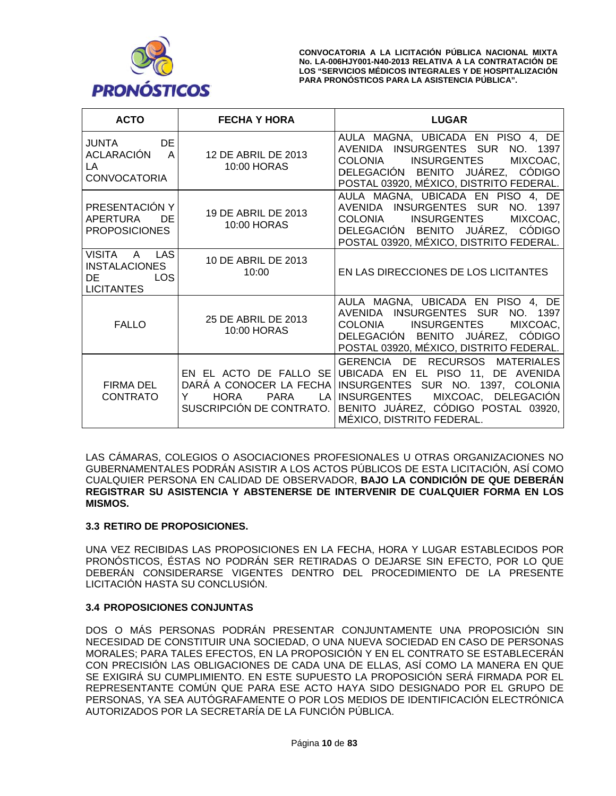

| <b>ACTO</b>                                                                   | <b>FECHA Y HORA</b>                                                                                             | <b>LUGAR</b>                                                                                                                                                                                                     |
|-------------------------------------------------------------------------------|-----------------------------------------------------------------------------------------------------------------|------------------------------------------------------------------------------------------------------------------------------------------------------------------------------------------------------------------|
| JUNTA DE<br>ACLARACIÓN A<br>LA.<br><b>CONVOCATORIA</b>                        | 12 DE ABRIL DE 2013<br>10:00 HORAS                                                                              | AULA MAGNA, UBICADA EN PISO 4, DE<br>AVENIDA INSURGENTES SUR NO. 1397<br>COLONIA INSURGENTES<br>MIXCOAC.<br>DELEGACIÓN BENITO JUÁREZ, CODIGO<br>POSTAL 03920, MÉXICO, DISTRITO FEDERAL.                          |
| PRESENTACIÓN Y<br>APERTURA<br>DE.<br><b>PROPOSICIONES</b>                     | 19 DE ABRIL DE 2013<br>10:00 HORAS                                                                              | AULA MAGNA, UBICADA EN PISO 4, DE<br>AVENIDA INSURGENTES SUR NO. 1397<br>COLONIA INSURGENTES<br>MIXCOAC,<br>DELEGACIÓN BENITO JUÁREZ, CÓDIGO<br>POSTAL 03920, MÉXICO, DISTRITO FEDERAL.                          |
| VISITA A LAS<br><b>INSTALACIONES</b><br><b>LOS</b><br>DE<br><b>LICITANTES</b> | 10 DE ABRIL DE 2013<br>10:00                                                                                    | EN LAS DIRECCIONES DE LOS LICITANTES                                                                                                                                                                             |
| <b>FALLO</b>                                                                  | 25 DE ABRIL DE 2013<br>10:00 HORAS                                                                              | AULA MAGNA, UBICADA EN PISO 4, DE<br>AVENIDA INSURGENTES SUR NO. 1397<br>COLONIA INSURGENTES<br>MIXCOAC,<br>DELEGACIÓN BENITO JUÁREZ, CÓDIGO<br>POSTAL 03920, MÉXICO, DISTRITO FEDERAL.                          |
| FIRMA DEL<br><b>CONTRATO</b>                                                  | EN EL ACTO DE FALLO SE<br>DARÁ A CONOCER LA FECHA<br>HORA<br><b>PARA</b><br>LA<br>Y<br>SUSCRIPCIÓN DE CONTRATO. | GERENCIA DE RECURSOS MATERIALES<br>UBICADA EN EL PISO 11, DE AVENIDA<br>INSURGENTES SUR NO. 1397, COLONIA<br>INSURGENTES MIXCOAC, DELEGACIÓN<br>BENITO JUÁREZ, CÓDIGO POSTAL 03920,<br>MÉXICO, DISTRITO FEDERAL. |

LAS CÁMARAS, COLEGIOS O ASOCIACIONES PROFESIONALES U OTRAS ORGANIZACIONES NO GUBERNAMENTALES PODRÁN ASISTIR A LOS ACTOS PÚBLICOS DE ESTA LICITACIÓN, ASÍ COMO CUALQUIER PERSONA EN CALIDAD DE OBSERVADOR, BAJO LA CONDICIÓN DE QUE DEBERÁN REGISTRAR SU ASISTENCIA Y ABSTENERSE DE INTERVENIR DE CUALQUIER FORMA EN LOS **MISMOS.** 

### 3.3 RETIRO DE PROPOSICIONES.

UNA VEZ RECIBIDAS LAS PROPOSICIONES EN LA FECHA, HORA Y LUGAR ESTABLECIDOS POR PRONÓSTICOS, ÉSTAS NO PODRÁN SER RETIRADAS O DEJARSE SIN EFECTO, POR LO QUE DEBERAN CONSIDERARSE VIGENTES DENTRO DEL PROCEDIMIENTO DE LA PRESENTE LICITACIÓN HASTA SU CONCLUSIÓN.

# **3.4 PROPOSICIONES CONJUNTAS**

DOS O MÁS PERSONAS PODRÁN PRESENTAR CONJUNTAMENTE UNA PROPOSICIÓN SIN NECESIDAD DE CONSTITUIR UNA SOCIEDAD, O UNA NUEVA SOCIEDAD EN CASO DE PERSONAS MORALES; PARA TALES EFECTOS, EN LA PROPOSICIÓN Y EN EL CONTRATO SE ESTABLECERÁN CON PRECISIÓN LAS OBLIGACIONES DE CADA UNA DE ELLAS, ASÍ COMO LA MANERA EN QUE SE EXIGIRÁ SU CUMPLIMIENTO. EN ESTE SUPUESTO LA PROPOSICIÓN SERÁ FIRMADA POR EL REPRESENTANTE COMÚN QUE PARA ESE ACTO HAYA SIDO DESIGNADO POR EL GRUPO DE PERSONAS, YA SEA AUTÓGRAFAMENTE O POR LOS MEDIOS DE IDENTIFICACIÓN ELECTRÓNICA AUTORIZADOS POR LA SECRETARÍA DE LA FUNCIÓN PÚBLICA.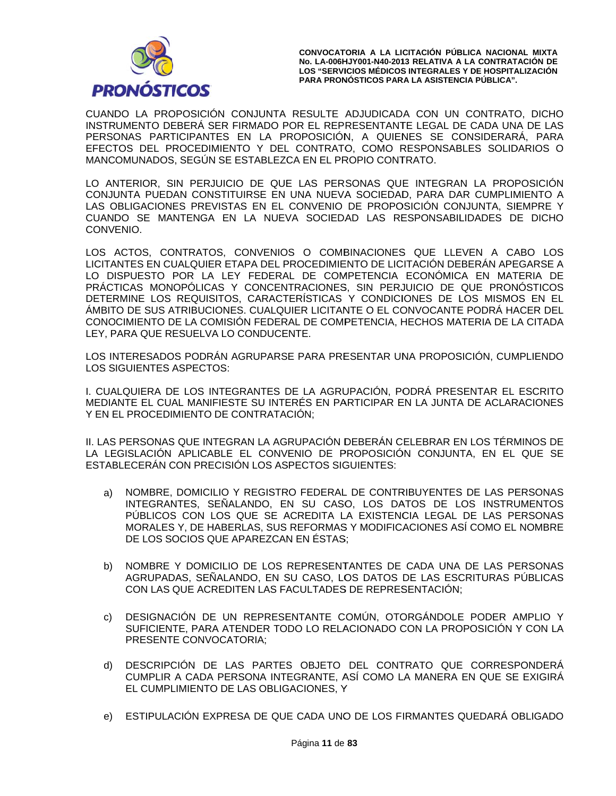

CONVOCATORIA A LA LICITACIÓN PÚBLICA NACIONAL MIXTA **No. LA-006H HJY001-N40-201 13 RELATIVA A A LA CONTRAT ACIÓN DE**  LOS "SERVICIOS MÉDICOS INTEGRALES Y DE HOSPITALIZACIÓN **PARA PRON NÓSTICOS PAR RA LA ASISTENC CIA PÚBLICA".**

CUANDO LA PROPOSICIÓN CONJUNTA RESULTE ADJUDICADA CON UN CONTRATO, DICHO INSTRUMENTO DEBERA SER FIRMADO POR EL REPRESENTANTE LEGAL DE CADA UNA DE LAS PERSONAS PARTICIPANTES EN LA PROPOSICIÓN, A QUIENES SE CONSIDERARÁ, PARA EFECTOS DEL PROCEDIMIENTO Y DEL CONTRATO, COMO RESPONSABLES SOLIDARIOS O MANCOMUNADOS, SEGÚN SE ESTABLEZCA EN EL PROPIO CONTRATO.

LO ANTERIOR, SIN PERJUICIO DE QUE LAS PERSONAS QUE INTEGRAN LA PROPOSICIÓN CONJUNTA PUEDAN CONSTITUIRSE EN UNA NUEVA SOCIEDAD, PARA DAR CUMPLIMIENTO A LAS OBLIGACIONES PREVISTAS EN EL CONVENIO DE PROPOSICIÓN CONJUNTA, SIEMPRE Y CUANDO SE MANTENGA EN LA NUEVA SOCIEDAD LAS RESPONSABILIDADES DE DICHO CONV ENIO.

LOS ACTOS, CONTRATOS, CONVENIOS O COMBINACIONES QUE LLEVEN A CABO LOS LICITANTES EN CUALQUIER ETAPA DEL PROCEDIMIENTO DE LICITACIÓN DEBERÁN APEGARSE A LO DISPUESTO POR LA LEY FEDERAL DE COMPETENCIA ECONÓMICA EN MATERIA DE PRÁCTICAS MONOPÓLICAS Y CONCENTRACIONES, SIN PERJUICIO DE QUE PRONÓSTICOS DETERMINE LOS REQUISITOS, CARACTERÍSTICAS Y CONDICIONES DE LOS MISMOS EN EL ÀMBITO DE SUS ATRIBUCIONES. CUALQUIER LICITANTE O EL CONVOCANTE PODRÀ HACER DEL CONOCIMIENTO DE LA COMISIÓN FEDERAL DE COMPETENCIA, HECHOS MATERIA DE LA CITADA LEY, PARA QUE RESUELVA LO CONDUCENTE.

LOS INTERESADOS PODRÁN AGRUPARSE PARA PRESENTAR UNA PROPOSICIÓN, CUMPLIENDO LOS S IGUIENTES A ASPECTOS:

I. CUALQUIERA DE LOS INTEGRANTES DE LA AGRUPACIÓN, PODRÀ PRESENTAR EL ESCRITO MEDIANTE EL CUAL MANIFIESTE SU INTERÉS EN PARTICIPAR EN LA JUNTA DE ACLARACIONES Y EN E EL PROCEDI MIENTO DE CONTRATAC CIÓN;

II. LAS PERSONAS QUE INTEGRAN LA AGRUPACIÓN DEBERÁN CELEBRAR EN LOS TÉRMINOS DE LA LEGISLACIÓN APLICABLE EL CONVENIO DE PROPOSICIÓN CONJUNTA, EN EL QUE SE ESTABLECERÁN CON PRECISIÓN LOS ASPECTOS SIGUIENTES:

- a) NOMBRE, DOMICILIO Y REGISTRO FEDERAL DE CONTRIBUYENTES DE LAS PERSONAS INTEGRANTES, SEÑALANDO, EN SU CASO, LOS DATOS DE LOS INSTRUMENTOS PÚBLICOS CON LOS QUE SE ACREDITA LA EXISTENCIA LEGAL DE LAS PERSONAS MORALES Y, DE HABERLAS, SUS REFORMAS Y MODIFICACIONES ASÍ COMO EL NOMBRE DE LOS SOCIOS QUE APAREZCAN EN ÉSTAS;
- b) NOMBRE Y DOMICILIO DE LOS REPRESENTANTES DE CADA UNA DE LAS PERSONAS AGRUPADAS, SEÑALANDO, EN SU CASO, LOS DATOS DE LAS ESCRITURAS PÚBLICAS CON LAS QUE ACREDITEN LAS FACULTADES DE REPRESENTACIÓN;
- c) DESIGNACIÓN DE UN REPRESENTANTE COMÚN, OTORGÁNDOLE PODER AMPLIO Y SUFICIENTE, PARA ATENDER TODO LO RELACIONADO CON LA PROPOSICIÓN Y CON LA PRESENTE CONVOCATORIA;
- d) DESCRIPCIÓN DE LAS PARTES OBJETO DEL CONTRATO QUE CORRESPONDERÁ CUMPLIR A CADA PERSONA INTEGRANTE, ASÍ COMO LA MANERA EN QUE SE EXIGIRÁ EL CUMPLIMIENTO DE LAS OBLIGACIONES, Y
- e) ESTIPULACIÓN EXPRESA DE QUE CADA UNO DE LOS FIRMANTES QUEDARÁ OBLIGADO